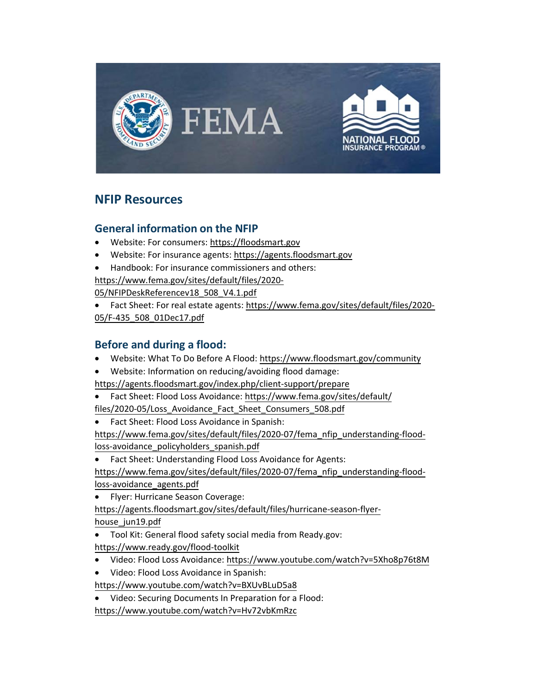

# **NFIP Resources**

#### **General information on the NFIP**

- Website: For consumers: [https://floodsmart.gov](https://floodsmart.gov/)
- Website: For insurance agents[: https://agents.floodsmart.gov](https://agents.floodsmart.gov/)
- Handbook: For insurance commissioners and others:

[https://www.fema.gov/sites/default/files/2020-](https://www.fema.gov/sites/default/files/2020-05/NFIPDeskReferencev18_508_V4.1.pdf)

[05/NFIPDeskReferencev18\\_508\\_V4.1.pdf](https://www.fema.gov/sites/default/files/2020-05/NFIPDeskReferencev18_508_V4.1.pdf)

• Fact Sheet: For real estate agents: [https://www.fema.gov/sites/default/files/2020-](https://www.fema.gov/sites/default/files/2020-05/F-435_508_01Dec17.pdf) [05/F-435\\_508\\_01Dec17.pdf](https://www.fema.gov/sites/default/files/2020-05/F-435_508_01Dec17.pdf)

#### **Before and during a flood:**

- Website: What To Do Before A Flood:<https://www.floodsmart.gov/community>
- Website: Information on reducing/avoiding flood damage:

<https://agents.floodsmart.gov/index.php/client-support/prepare>

- Fact Sheet: Flood Loss Avoidance: [https://www.fema.gov/sites/default/](https://www.fema.gov/sites/default/files/2020-05/Loss_Avoidance_Fact_Sheet_Consumers_508.pdf) [files/2020-05/Loss\\_Avoidance\\_Fact\\_Sheet\\_Consumer](https://www.fema.gov/sites/default/files/2020-05/Loss_Avoidance_Fact_Sheet_Consumers_508.pdf)s\_508.pdf
- Fact Sheet: Flood Loss Avoidance in Spanish: [https://www.fema.gov/sites/default/files/2020-07/fema\\_nfip\\_understanding-flood](https://www.fema.gov/sites/default/files/2020-07/fema_nfip_understanding-flood-loss-avoidance_policyholders_spanish.pdf)[loss-avoidance\\_policyholders\\_spanish.pdf](https://www.fema.gov/sites/default/files/2020-07/fema_nfip_understanding-flood-loss-avoidance_policyholders_spanish.pdf)
- Fact Sheet: Understanding Flood Loss Avoidance for Agents:

[https://www.fema.gov/sites/default/files/2020-07/fema\\_nfip\\_understanding-flood](https://www.fema.gov/sites/default/files/2020-07/fema_nfip_understanding-flood-loss-avoidance_agents.pdf)[loss-avoidance\\_agents.pdf](https://www.fema.gov/sites/default/files/2020-07/fema_nfip_understanding-flood-loss-avoidance_agents.pdf)

- Flyer: Hurricane Season Coverage: [https://agents.floodsmart.gov/sites/default/files/hurricane-season-flyer](https://agents.floodsmart.gov/sites/default/files/hurricane-season-flyer-house_jun19.pdf)house jun19.pdf
- Tool Kit: General flood safety social media from Ready.gov:

<https://www.ready.gov/flood-toolkit>

- Video: Flood Loss Avoidance:<https://www.youtube.com/watch?v=5Xho8p76t8M>
- Video: Flood Loss Avoidance in Spanish:

<https://www.youtube.com/watch?v=BXUvBLuD5a8>

• Video: Securing Documents In Preparation for a Flood:

<https://www.youtube.com/watch?v=Hv72vbKmRzc>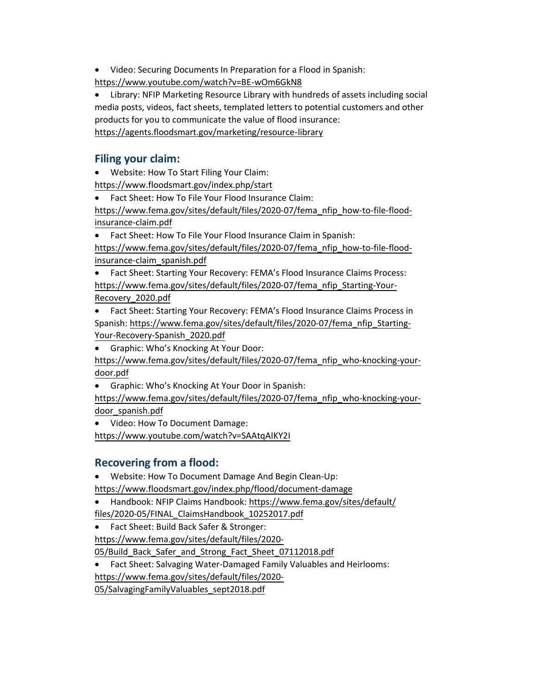• Video: Securing Documents In Preparation for a Flood in Spanish:

<https://www.youtube.com/watch?v=BE-wOm6GkN8>

• Library: NFIP Marketing Resource Library with hundreds of assets including social media posts, videos, fact sheets, templated letters to potential customers and other products for you to communicate the value of flood insurance: <https://agents.floodsmart.gov/marketing/resource-library>

#### **Filing your claim:**

• Website: How To Start Filing Your Claim:

<https://www.floodsmart.gov/index.php/start>

• Fact Sheet: How To File Your Flood Insurance Claim:

[https://www.fema.gov/sites/default/files/2020-07/fema\\_nfip\\_how-to-file-flood](https://www.fema.gov/sites/default/files/2020-07/fema_nfip_how-to-file-flood-insurance-claim.pdf)[insurance-claim.pdf](https://www.fema.gov/sites/default/files/2020-07/fema_nfip_how-to-file-flood-insurance-claim.pdf)

• Fact Sheet: How To File Your Flood Insurance Claim in Spanish: [https://www.fema.gov/sites/default/files/2020-07/fema\\_nfip\\_how-to-file-flood](https://www.fema.gov/sites/default/files/2020-07/fema_nfip_how-to-file-flood-insurance-claim_spanish.pdf)[insurance-claim\\_spanish.pdf](https://www.fema.gov/sites/default/files/2020-07/fema_nfip_how-to-file-flood-insurance-claim_spanish.pdf)

• Fact Sheet: Starting Your Recovery: FEMA's Flood Insurance Claims Process: [https://www.fema.gov/sites/default/files/2020-07/fema\\_nfip\\_Starting-Your-](https://www.fema.gov/sites/default/files/2020-07/fema_nfip_Starting-Your-Recovery_2020.pdf)[Recovery\\_2020.pdf](https://www.fema.gov/sites/default/files/2020-07/fema_nfip_Starting-Your-Recovery_2020.pdf)

- Fact Sheet: Starting Your Recovery: FEMA's Flood Insurance Claims Process in Spanish: [https://www.fema.gov/sites/default/files/2020-07/fema\\_nfip\\_Starting-](https://www.fema.gov/sites/default/files/2020-07/fema_nfip_Starting-Your-Recovery-Spanish_2020.pdf)[Your-Recovery-Spanish\\_2020](https://www.fema.gov/sites/default/files/2020-07/fema_nfip_Starting-Your-Recovery-Spanish_2020.pdf).pdf
- Graphic: Who's Knocking At Your Door:

[https://www.fema.gov/sites/default/files/2020-07/fema\\_nfip\\_who-knocking-your](https://www.fema.gov/sites/default/files/2020-07/fema_nfip_who-knocking-your-door.pdf)[door.pdf](https://www.fema.gov/sites/default/files/2020-07/fema_nfip_who-knocking-your-door.pdf)

• Graphic: Who's Knocking At Your Door in Spanish:

[https://www.fema.gov/sites/default/files/2020-07/fema\\_nfip\\_who-knocking-your](https://www.fema.gov/sites/default/files/2020-07/fema_nfip_who-knocking-your-door_spanish.pdf)[door\\_spanish.pdf](https://www.fema.gov/sites/default/files/2020-07/fema_nfip_who-knocking-your-door_spanish.pdf)

• Video: How To Document Damage: <https://www.youtube.com/watch?v=SAAtqAIKY2I>

## **Recovering from a flood:**

• Website: How To Document Damage And Begin Clean-Up:

<https://www.floodsmart.gov/index.php/flood/document-damage>

- Handbook: NFIP Claims Handbook: [https://www.fema.gov/sites/default/](https://www.fema.gov/sites/default/files/2020-05/FINAL_ClaimsHandbook_10252017.pdf) [files/2020-05/FINAL\\_ClaimsHandbook\\_102](https://www.fema.gov/sites/default/files/2020-05/FINAL_ClaimsHandbook_10252017.pdf)52017.pdf
- Fact Sheet: Build Back Safer & Stronger:

[https://www.fema.gov/sites/default/files/2020-](https://www.fema.gov/sites/default/files/2020-05/Build_Back_Safer_and_Strong_Fact_Sheet_07112018.pdf)

05/Build Back Safer and Strong Fact Sheet 07112018.pdf

• Fact Sheet: Salvaging Water-Damaged Family Valuables and Heirlooms: [https://www.fema.gov/sites/default/files/2020-](https://www.fema.gov/sites/default/files/2020-05/SalvagingFamilyValuables_sept2018.pdf)

[05/SalvagingFamilyValuables\\_sept2018.pdf](https://www.fema.gov/sites/default/files/2020-05/SalvagingFamilyValuables_sept2018.pdf)